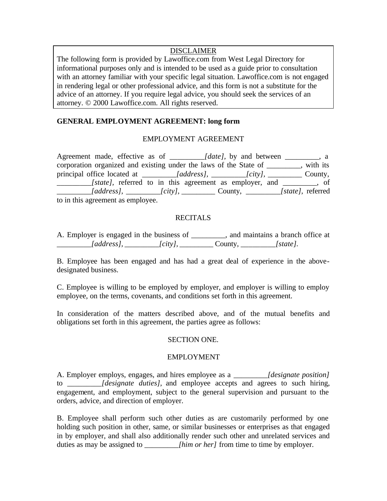# DISCLAIMER

The following form is provided by Lawoffice.com from West Legal Directory for informational purposes only and is intended to be used as a guide prior to consultation with an attorney familiar with your specific legal situation. Lawoffice.com is not engaged in rendering legal or other professional advice, and this form is not a substitute for the advice of an attorney. If you require legal advice, you should seek the services of an attorney. © 2000 Lawoffice.com. All rights reserved.

# **GENERAL EMPLOYMENT AGREEMENT: long form**

# EMPLOYMENT AGREEMENT

Agreement made, effective as of *\_\_\_\_\_\_\_\_\_\_\_\_\_[date]*, by and between *\_\_\_\_\_\_\_\_*, a corporation organized and existing under the laws of the State of \_\_\_\_\_\_\_\_\_, with its principal office located at *\_\_\_\_\_\_\_\_\_[address]*, *\_\_\_\_\_\_\_\_\_\_[city]*, \_\_\_\_\_\_\_\_\_\_\_ County, *\_\_\_\_\_\_\_\_\_\_\_[state]*, referred to in this agreement as employer, and \_\_\_\_\_\_\_\_, of *\_\_\_\_\_\_\_\_\_[address],* \_*\_\_\_\_\_\_\_\_[city],* \_\_\_\_\_\_\_\_\_ County, *\_\_\_\_\_\_\_\_\_[state],* referred to in this agreement as employee.

# **RECITALS**

A. Employer is engaged in the business of \_\_\_\_\_\_\_\_\_, and maintains a branch office at *\_\_\_\_\_\_\_\_\_[address], \_\_\_\_\_\_\_\_\_[city],* \_\_\_\_\_\_\_\_\_ County, *\_\_\_\_\_\_\_\_\_[state].*

B. Employee has been engaged and has had a great deal of experience in the abovedesignated business.

C. Employee is willing to be employed by employer, and employer is willing to employ employee, on the terms, covenants, and conditions set forth in this agreement.

In consideration of the matters described above, and of the mutual benefits and obligations set forth in this agreement, the parties agree as follows:

# SECTION ONE.

#### EMPLOYMENT

A. Employer employs, engages, and hires employee as a *\_\_\_\_\_\_\_\_\_[designate position]* to *[designate duties]*, and employee accepts and agrees to such hiring, engagement, and employment, subject to the general supervision and pursuant to the orders, advice, and direction of employer.

B. Employee shall perform such other duties as are customarily performed by one holding such position in other, same, or similar businesses or enterprises as that engaged in by employer, and shall also additionally render such other and unrelated services and duties as may be assigned to *\_\_\_\_\_\_\_\_\_[him or her]* from time to time by employer.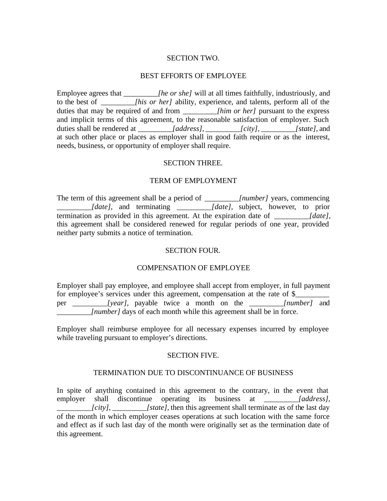#### SECTION TWO.

#### BEST EFFORTS OF EMPLOYEE

Employee agrees that *\_\_\_\_\_\_\_\_\_[he or she]* will at all times faithfully, industriously, and to the best of *\_\_\_\_\_\_\_\_\_[his or her]* ability, experience, and talents, perform all of the duties that may be required of and from *\_\_\_\_\_\_\_\_\_[him or her]* pursuant to the express and implicit terms of this agreement, to the reasonable satisfaction of employer. Such duties shall be rendered at *\_\_\_\_\_\_\_\_\_[address], \_\_\_\_\_\_\_\_\_[city], \_\_\_\_\_\_\_\_\_[state],* and at such other place or places as employer shall in good faith require or as the interest, needs, business, or opportunity of employer shall require.

#### SECTION THREE.

#### TERM OF EMPLOYMENT

The term of this agreement shall be a period of *\_\_\_\_\_\_\_\_\_[number]* years, commencing *\_\_\_\_\_\_\_\_\_[date],* and terminating *\_\_\_\_\_\_\_\_\_[date],* subject, however, to prior termination as provided in this agreement. At the expiration date of *\_\_\_\_\_\_\_\_\_[date],* this agreement shall be considered renewed for regular periods of one year, provided neither party submits a notice of termination.

#### SECTION FOUR.

### COMPENSATION OF EMPLOYEE

Employer shall pay employee, and employee shall accept from employer, in full payment for employee's services under this agreement, compensation at the rate of \$\_\_\_\_\_\_ per *[year]*, payable twice a month on the *[number]* and *[number]* days of each month while this agreement shall be in force.

Employer shall reimburse employee for all necessary expenses incurred by employee while traveling pursuant to employer's directions.

### SECTION FIVE.

#### TERMINATION DUE TO DISCONTINUANCE OF BUSINESS

In spite of anything contained in this agreement to the contrary, in the event that employer shall discontinue operating its business at *\_\_\_\_\_\_\_\_\_[address], leity], [state]*, then this agreement shall terminate as of the last day of the month in which employer ceases operations at such location with the same force and effect as if such last day of the month were originally set as the termination date of this agreement.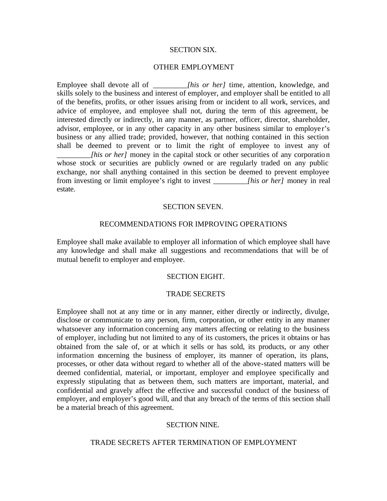#### SECTION SIX.

#### OTHER EMPLOYMENT

Employee shall devote all of *[his or her]* time, attention, knowledge, and skills solely to the business and interest of employer, and employer shall be entitled to all of the benefits, profits, or other issues arising from or incident to all work, services, and advice of employee, and employee shall not, during the term of this agreement, be interested directly or indirectly, in any manner, as partner, officer, director, shareholder, advisor, employee, or in any other capacity in any other business similar to employer's business or any allied trade; provided, however, that nothing contained in this section shall be deemed to prevent or to limit the right of employee to invest any of *lhis or her]* money in the capital stock or other securities of any corporation whose stock or securities are publicly owned or are regularly traded on any public exchange, nor shall anything contained in this section be deemed to prevent employee from investing or limit employee's right to invest *\_\_\_\_\_\_\_\_\_[his or her]* money in real estate.

#### SECTION SEVEN.

#### RECOMMENDATIONS FOR IMPROVING OPERATIONS

Employee shall make available to employer all information of which employee shall have any knowledge and shall make all suggestions and recommendations that will be of mutual benefit to employer and employee.

#### SECTION EIGHT.

#### TRADE SECRETS

Employee shall not at any time or in any manner, either directly or indirectly, divulge, disclose or communicate to any person, firm, corporation, or other entity in any manner whatsoever any information concerning any matters affecting or relating to the business of employer, including but not limited to any of its customers, the prices it obtains or has obtained from the sale of, or at which it sells or has sold, its products, or any other information concerning the business of employer, its manner of operation, its plans, processes, or other data without regard to whether all of the above-stated matters will be deemed confidential, material, or important, employer and employee specifically and expressly stipulating that as between them, such matters are important, material, and confidential and gravely affect the effective and successful conduct of the business of employer, and employer's good will, and that any breach of the terms of this section shall be a material breach of this agreement.

#### SECTION NINE.

#### TRADE SECRETS AFTER TERMINATION OF EMPLOYMENT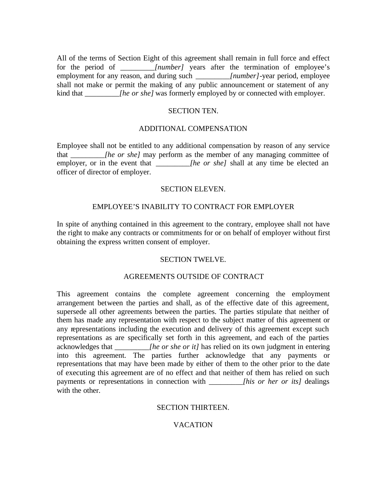All of the terms of Section Eight of this agreement shall remain in full force and effect for the period of *\_\_\_\_\_\_\_\_\_[number]* years after the termination of employee's employment for any reason, and during such *\_\_\_\_\_\_\_\_\_[number]-*year period, employee shall not make or permit the making of any public announcement or statement of any kind that *\_\_\_\_\_\_\_\_\_[he or she]* was formerly employed by or connected with employer.

#### SECTION TEN.

## ADDITIONAL COMPENSATION

Employee shall not be entitled to any additional compensation by reason of any service that *\_\_\_\_\_\_\_\_\_[he or she]* may perform as the member of any managing committee of employer, or in the event that *\_\_\_\_\_\_\_\_\_\_[he or she]* shall at any time be elected an officer of director of employer.

### SECTION ELEVEN.

# EMPLOYEE'S INABILITY TO CONTRACT FOR EMPLOYER

In spite of anything contained in this agreement to the contrary, employee shall not have the right to make any contracts or commitments for or on behalf of employer without first obtaining the express written consent of employer.

# SECTION TWELVE.

# AGREEMENTS OUTSIDE OF CONTRACT

This agreement contains the complete agreement concerning the employment arrangement between the parties and shall, as of the effective date of this agreement, supersede all other agreements between the parties. The parties stipulate that neither of them has made any representation with respect to the subject matter of this agreement or any representations including the execution and delivery of this agreement except such representations as are specifically set forth in this agreement, and each of the parties acknowledges that *lhe or she or it]* has relied on its own judgment in entering into this agreement. The parties further acknowledge that any payments or representations that may have been made by either of them to the other prior to the date of executing this agreement are of no effect and that neither of them has relied on such payments or representations in connection with *\_\_\_\_\_\_\_\_\_[his or her or its]* dealings with the other.

# SECTION THIRTEEN.

# VACATION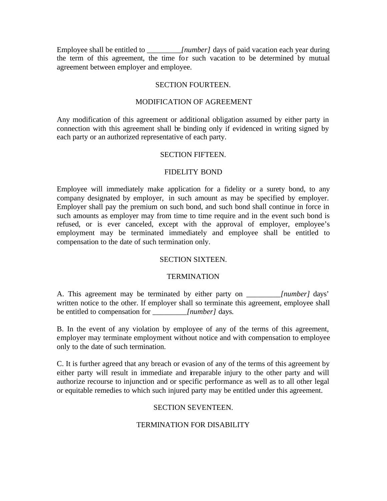Employee shall be entitled to *\_\_\_\_\_\_\_\_\_[number]* days of paid vacation each year during the term of this agreement, the time for such vacation to be determined by mutual agreement between employer and employee.

## SECTION FOURTEEN.

#### MODIFICATION OF AGREEMENT

Any modification of this agreement or additional obligation assumed by either party in connection with this agreement shall be binding only if evidenced in writing signed by each party or an authorized representative of each party.

### SECTION FIFTEEN.

# FIDELITY BOND

Employee will immediately make application for a fidelity or a surety bond, to any company designated by employer, in such amount as may be specified by employer. Employer shall pay the premium on such bond, and such bond shall continue in force in such amounts as employer may from time to time require and in the event such bond is refused, or is ever canceled, except with the approval of employer, employee's employment may be terminated immediately and employee shall be entitled to compensation to the date of such termination only.

# SECTION SIXTEEN.

# **TERMINATION**

A. This agreement may be terminated by either party on *\_\_\_\_\_\_\_\_\_[number]* days' written notice to the other. If employer shall so terminate this agreement, employee shall be entitled to compensation for *[number]* days.

B. In the event of any violation by employee of any of the terms of this agreement, employer may terminate employment without notice and with compensation to employee only to the date of such termination.

C. It is further agreed that any breach or evasion of any of the terms of this agreement by either party will result in immediate and irreparable injury to the other party and will authorize recourse to injunction and or specific performance as well as to all other legal or equitable remedies to which such injured party may be entitled under this agreement.

#### SECTION SEVENTEEN.

# TERMINATION FOR DISABILITY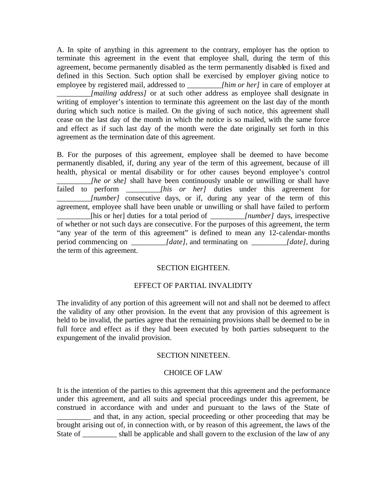A. In spite of anything in this agreement to the contrary, employer has the option to terminate this agreement in the event that employee shall, during the term of this agreement, become permanently disabled as the term permanently disabled is fixed and defined in this Section. Such option shall be exercised by employer giving notice to employee by registered mail, addressed to *\_\_\_\_\_\_\_\_\_[him or her]* in care of employer at *\_\_\_\_\_\_\_\_\_[mailing address]* or at such other address as employee shall designate in writing of employer's intention to terminate this agreement on the last day of the month during which such notice is mailed. On the giving of such notice, this agreement shall cease on the last day of the month in which the notice is so mailed, with the same force and effect as if such last day of the month were the date originally set forth in this agreement as the termination date of this agreement.

B. For the purposes of this agreement, employee shall be deemed to have become permanently disabled, if, during any year of the term of this agreement, because of ill health, physical or mental disability or for other causes beyond employee's control *\_[he or she]* shall have been continuously unable or unwilling or shall have failed to perform *\_\_\_\_\_\_\_\_\_[his or her]* duties under this agreement for *[number]* consecutive days, or if, during any year of the term of this agreement, employee shall have been unable or unwilling or shall have failed to perform \_\_\_\_\_\_\_\_\_[his or her] duties for a total period of *\_\_\_\_\_\_\_\_\_[number]* days, irrespective of whether or not such days are consecutive. For the purposes of this agreement, the term "any year of the term of this agreement" is defined to mean any 12-calendar-months period commencing on *\_\_\_\_\_\_\_\_\_[date],* and terminating on *\_\_\_\_\_\_\_\_\_[date],* during the term of this agreement.

# SECTION EIGHTEEN.

#### EFFECT OF PARTIAL INVALIDITY

The invalidity of any portion of this agreement will not and shall not be deemed to affect the validity of any other provision. In the event that any provision of this agreement is held to be invalid, the parties agree that the remaining provisions shall be deemed to be in full force and effect as if they had been executed by both parties subsequent to the expungement of the invalid provision.

#### SECTION NINETEEN.

#### CHOICE OF LAW

It is the intention of the parties to this agreement that this agreement and the performance under this agreement, and all suits and special proceedings under this agreement, be construed in accordance with and under and pursuant to the laws of the State of and that, in any action, special proceeding or other proceeding that may be brought arising out of, in connection with, or by reason of this agreement, the laws of the State of shall be applicable and shall govern to the exclusion of the law of any